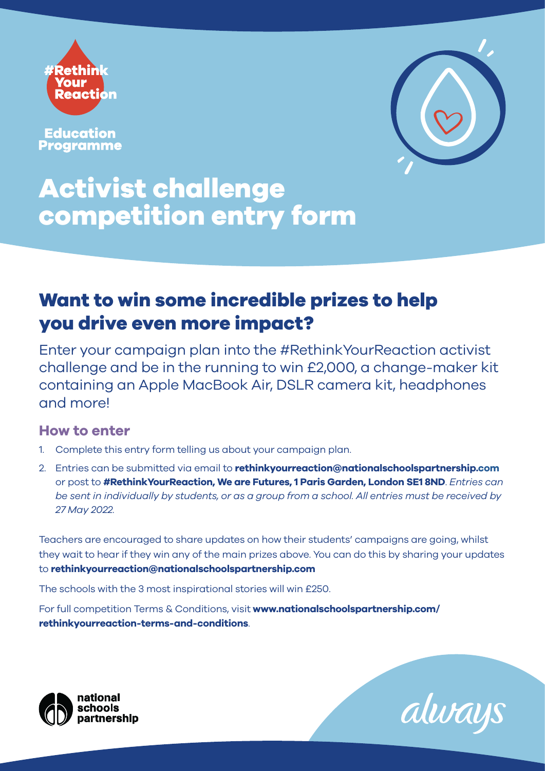

**Education Programme** 



# **Activist challenge competition entry form**

## **Want to win some incredible prizes to help you drive even more impact?**

Enter your campaign plan into the #RethinkYourReaction activist challenge and be in the running to win £2,000, a change-maker kit containing an Apple MacBook Air, DSLR camera kit, headphones and more!

#### **How to enter**

- 1. Complete this entry form telling us about your campaign plan.
- 2. Entries can be submitted via email to **rethinkyourreaction@nationalschoolspartnership.com** or post to **#RethinkYourReaction, We are Futures, 1 Paris Garden, London SE1 8ND**. *Entries can be sent in individually by students, or as a group from a school. All entries must be received by 27 May 2022.*

Teachers are encouraged to share updates on how their students' campaigns are going, whilst they wait to hear if they win any of the main prizes above. You can do this by sharing your updates to **rethinkyourreaction@nationalschoolspartnership.com**

The schools with the 3 most inspirational stories will win £250.

For full competition Terms & Conditions, visit **www.nationalschoolspartnership.com/ rethinkyourreaction-terms-and-conditions**.



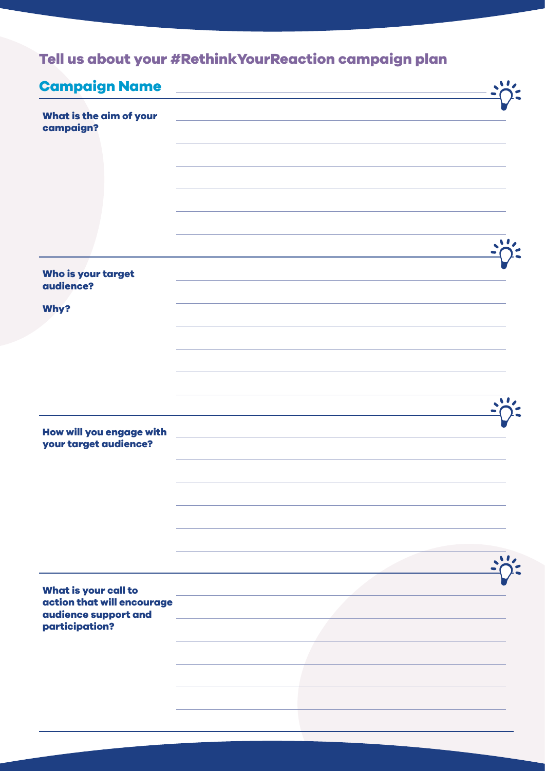## **Tell us about your #RethinkYourReaction campaign plan**

| <b>Campaign Name</b>                                                                         | the control of the control of the control of the |  |
|----------------------------------------------------------------------------------------------|--------------------------------------------------|--|
| What is the aim of your<br>campaign?                                                         |                                                  |  |
|                                                                                              |                                                  |  |
|                                                                                              |                                                  |  |
| Who is your target<br>audience?                                                              |                                                  |  |
| Why?                                                                                         |                                                  |  |
|                                                                                              |                                                  |  |
|                                                                                              |                                                  |  |
| How will you engage with<br>your target audience?                                            |                                                  |  |
|                                                                                              |                                                  |  |
|                                                                                              |                                                  |  |
|                                                                                              |                                                  |  |
| What is your call to<br>action that will encourage<br>audience support and<br>participation? |                                                  |  |
|                                                                                              |                                                  |  |
|                                                                                              |                                                  |  |
|                                                                                              |                                                  |  |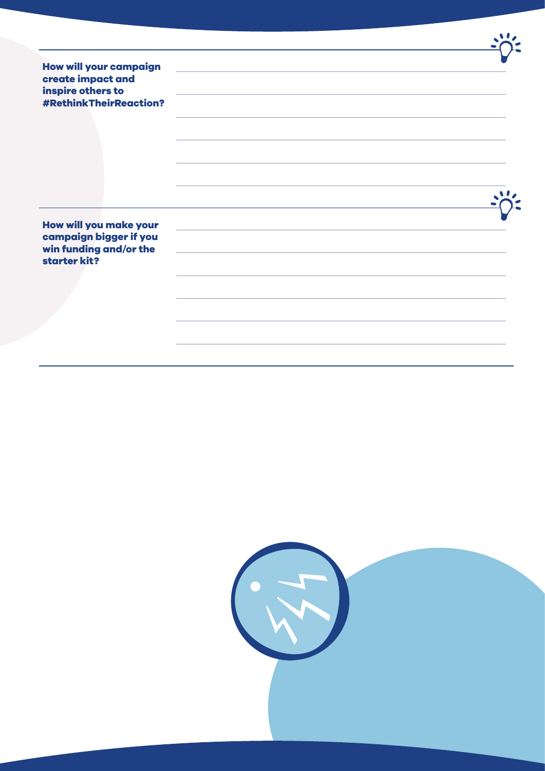| <b>How will your campaign</b><br>create impact and | <u> 1980 - Johann Barbara, martxa alemaniar amerikan a</u> |  |
|----------------------------------------------------|------------------------------------------------------------|--|
| inspire others to<br><b>#RethinkTheirReaction?</b> |                                                            |  |
|                                                    |                                                            |  |
|                                                    |                                                            |  |
|                                                    |                                                            |  |
| How will you make your                             |                                                            |  |
| campaign bigger if you<br>win funding and/or the   |                                                            |  |
| starter kit?                                       |                                                            |  |
|                                                    |                                                            |  |
|                                                    |                                                            |  |
|                                                    |                                                            |  |